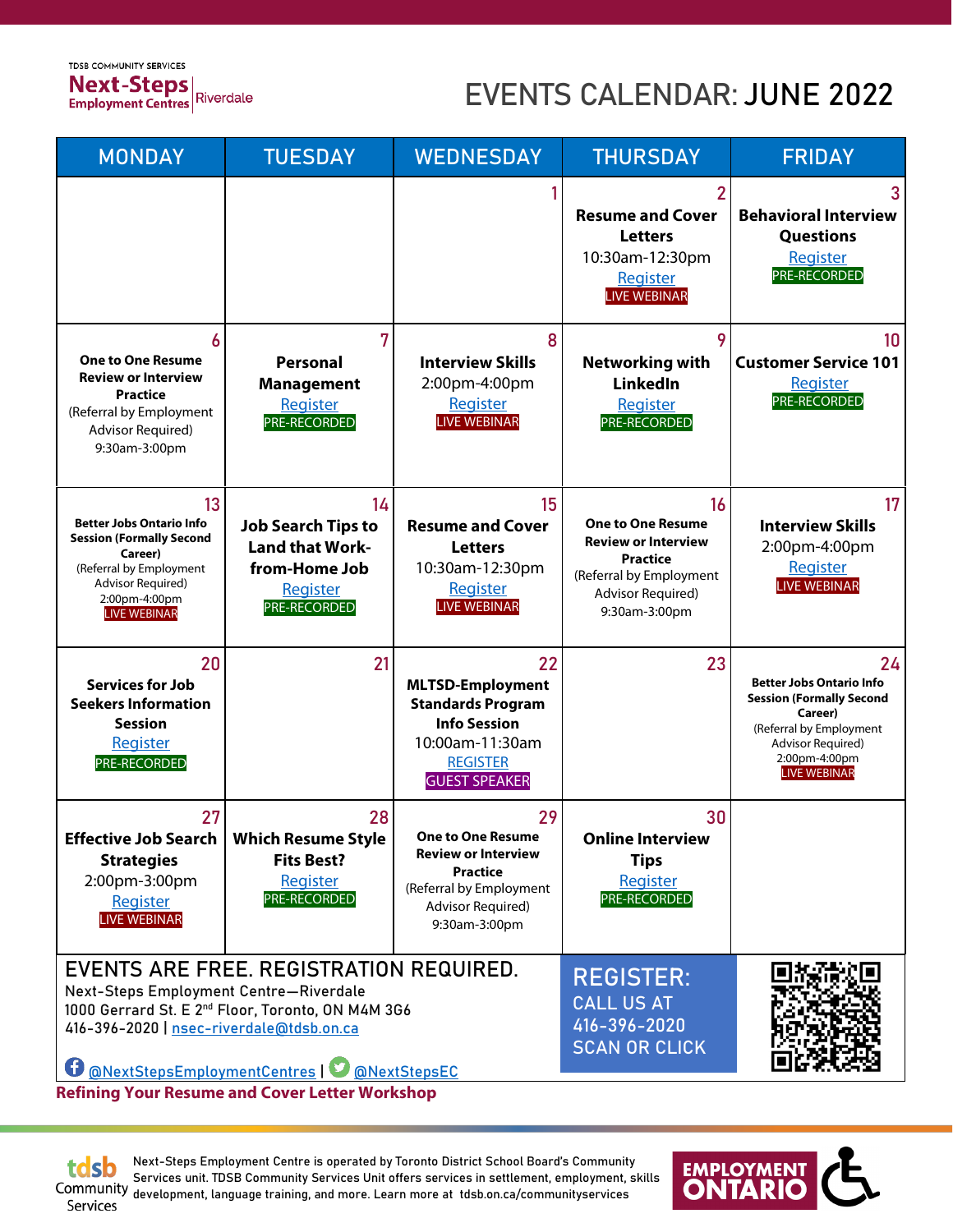**TDSB COMMUNITY SERVICES Next-Steps**<br>Employment Centres<br>Riverdale

# EVENTS CALENDAR: JUNE 2022

| <b>MONDAY</b>                                                                                                                                                                                                                                       | <b>TUESDAY</b>                                                                                         | <b>WEDNESDAY</b>                                                                                                                                        | <b>THURSDAY</b>                                                                                                                                  | <b>FRIDAY</b>                                                                                                                                                               |
|-----------------------------------------------------------------------------------------------------------------------------------------------------------------------------------------------------------------------------------------------------|--------------------------------------------------------------------------------------------------------|---------------------------------------------------------------------------------------------------------------------------------------------------------|--------------------------------------------------------------------------------------------------------------------------------------------------|-----------------------------------------------------------------------------------------------------------------------------------------------------------------------------|
|                                                                                                                                                                                                                                                     |                                                                                                        |                                                                                                                                                         | <b>Resume and Cover</b><br><b>Letters</b><br>10:30am-12:30pm<br><b>Register</b><br><b>LIVE WEBINAR</b>                                           | <b>Behavioral Interview</b><br><b>Questions</b><br>Register<br>PRE-RECORDED                                                                                                 |
| <b>One to One Resume</b><br><b>Review or Interview</b><br><b>Practice</b><br>(Referral by Employment<br><b>Advisor Required)</b><br>9:30am-3:00pm                                                                                                   | 7<br><b>Personal</b><br><b>Management</b><br>Register<br>PRE-RECORDED                                  | 8<br><b>Interview Skills</b><br>2:00pm-4:00pm<br>Register<br><b>LIVE WEBINAR</b>                                                                        | 9<br><b>Networking with</b><br><b>LinkedIn</b><br>Register<br>PRE-RECORDED                                                                       | 10<br><b>Customer Service 101</b><br>Register<br>PRE-RECORDED                                                                                                               |
| 13<br><b>Better Jobs Ontario Info</b><br><b>Session (Formally Second</b><br>Career)<br>(Referral by Employment<br>Advisor Required)<br>2:00pm-4:00pm<br><b>LIVE WEBINAR</b>                                                                         | 14<br><b>Job Search Tips to</b><br><b>Land that Work-</b><br>from-Home Job<br>Register<br>PRE-RECORDED | 15<br><b>Resume and Cover</b><br><b>Letters</b><br>10:30am-12:30pm<br>Register<br><b>LIVE WEBINAR</b>                                                   | 16<br><b>One to One Resume</b><br><b>Review or Interview</b><br><b>Practice</b><br>(Referral by Employment<br>Advisor Required)<br>9:30am-3:00pm | 17<br><b>Interview Skills</b><br>2:00pm-4:00pm<br><b>Register</b><br><b>LIVE WEBINAR</b>                                                                                    |
| 20<br><b>Services for Job</b><br><b>Seekers Information</b><br><b>Session</b><br>Register<br><b>PRE-RECORDED</b>                                                                                                                                    | 21                                                                                                     | 22<br><b>MLTSD-Employment</b><br><b>Standards Program</b><br><b>Info Session</b><br>10:00am-11:30am<br><b>REGISTER</b><br><b>GUEST SPEAKER</b>          | 23                                                                                                                                               | 24<br><b>Better Jobs Ontario Info</b><br><b>Session (Formally Second</b><br>Career)<br>(Referral by Employment<br>Advisor Required)<br>2:00pm-4:00pm<br><b>LIVE WEBINAR</b> |
| 27<br>Effective Job Search<br><b>Strategies</b><br>2:00pm-3:00pm<br>Register<br><b>LIVE WEBINAR</b>                                                                                                                                                 | 28<br><b>Which Resume Style</b><br><b>Fits Best?</b><br>Register<br>PRE-RECORDED                       | 29<br><b>One to One Resume</b><br><b>Review or Interview</b><br><b>Practice</b><br>(Referral by Employment<br><b>Advisor Required)</b><br>9:30am-3:00pm | 30<br><b>Online Interview</b><br><b>Tips</b><br>Register<br>PRE-RECORDED                                                                         |                                                                                                                                                                             |
| EVENTS ARE FREE. REGISTRATION REQUIRED.<br>Next-Steps Employment Centre-Riverdale<br>1000 Gerrard St. E 2 <sup>nd</sup> Floor, Toronto, ON M4M 3G6<br>416-396-2020   nsec-riverdale@tdsb.on.ca<br><b>@NextStepsEmploymentCentres   @NextStepsEC</b> |                                                                                                        |                                                                                                                                                         | <b>REGISTER:</b><br><b>CALL US AT</b><br>$416 - 396 - 2020$<br><b>SCAN OR CLICK</b>                                                              |                                                                                                                                                                             |

**Refining Your Resume and Cover Letter Workshop**

tdsb

Next-Steps Employment Centre is operated by Toronto District School Board's Community Services unit. TDSB Community Services Unit offers services in settlement, employment, skills development, language training, and more. Learn more at tdsb.on.ca/communityservices Services